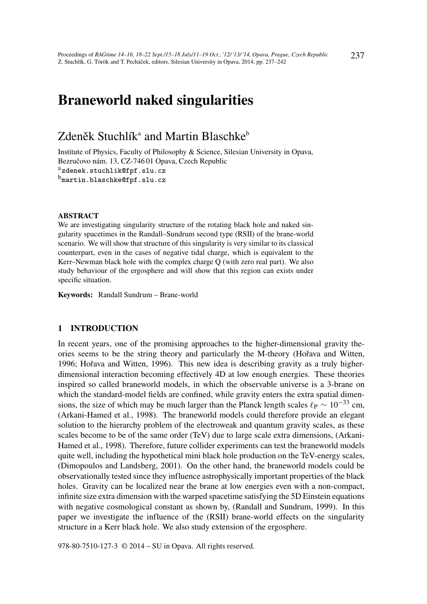# Braneworld naked singularities

## Zdeněk Stuchlíkª and Martin Blaschke<sup>ь</sup>

Institute of Physics, Faculty of Philosophy & Science, Silesian University in Opava, Bezručovo nám. 13, CZ-746 01 Opava, Czech Republic azdenek.stuchlik@fpf.slu.cz

b<sub>martin.blaschke@fpf.slu.cz</sub>

#### ABSTRACT

We are investigating singularity structure of the rotating black hole and naked singularity spacetimes in the Randall–Sundrum second type (RSII) of the brane-world scenario. We will show that structure of this singularity is very similar to its classical counterpart, even in the cases of negative tidal charge, which is equivalent to the Kerr–Newman black hole with the complex charge Q (with zero real part). We also study behaviour of the ergosphere and will show that this region can exists under specific situation.

Keywords: Randall Sundrum – Brane-world

#### 1 INTRODUCTION

In recent years, one of the promising approaches to the higher-dimensional gravity theories seems to be the string theory and particularly the M-theory (Hořava and Witten, 1996; Hořava and Witten, 1996). This new idea is describing gravity as a truly higherdimensional interaction becoming effectively 4D at low enough energies. These theories inspired so called braneworld models, in which the observable universe is a 3-brane on which the standard-model fields are confined, while gravity enters the extra spatial dimensions, the size of which may be much larger than the Planck length scales  $\ell_P \sim 10^{-33}$  cm, (Arkani-Hamed et al., 1998). The braneworld models could therefore provide an elegant solution to the hierarchy problem of the electroweak and quantum gravity scales, as these scales become to be of the same order (TeV) due to large scale extra dimensions, (Arkani-Hamed et al., 1998). Therefore, future collider experiments can test the braneworld models quite well, including the hypothetical mini black hole production on the TeV-energy scales, (Dimopoulos and Landsberg, 2001). On the other hand, the braneworld models could be observationally tested since they influence astrophysically important properties of the black holes. Gravity can be localized near the brane at low energies even with a non-compact, infinite size extra dimension with the warped spacetime satisfying the 5D Einstein equations with negative cosmological constant as shown by, (Randall and Sundrum, 1999). In this paper we investigate the influence of the (RSII) brane-world effects on the singularity structure in a Kerr black hole. We also study extension of the ergosphere.

978-80-7510-127-3 © 2014 – SU in Opava. All rights reserved.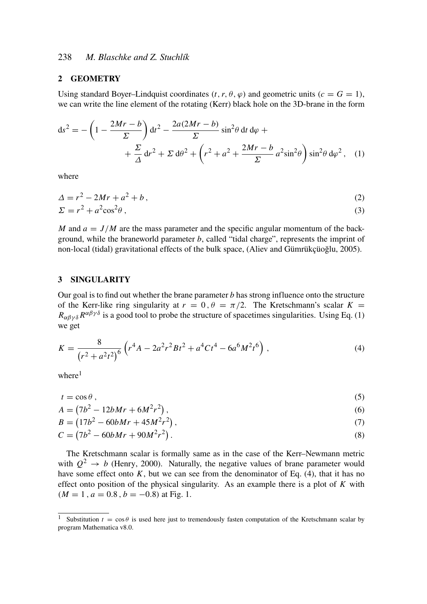## 2 GEOMETRY

Using standard Boyer–Lindquist coordinates  $(t, r, \theta, \varphi)$  and geometric units  $(c = G = 1)$ , we can write the line element of the rotating (Kerr) black hole on the 3D-brane in the form

$$
ds^{2} = -\left(1 - \frac{2Mr - b}{\Sigma}\right)dt^{2} - \frac{2a(2Mr - b)}{\Sigma}\sin^{2}\theta dt d\varphi + + \frac{\Sigma}{\Delta}dr^{2} + \Sigma d\theta^{2} + \left(r^{2} + a^{2} + \frac{2Mr - b}{\Sigma}a^{2}\sin^{2}\theta\right)\sin^{2}\theta d\varphi^{2}, (1)
$$

where

$$
\Delta = r^2 - 2Mr + a^2 + b\,,\tag{2}
$$

$$
\Sigma = r^2 + a^2 \cos^2 \theta \,,\tag{3}
$$

*M* and  $a = J/M$  are the mass parameter and the specific angular momentum of the background, while the braneworld parameter *b*, called "tidal charge", represents the imprint of non-local (tidal) gravitational effects of the bulk space, (Aliev and Gümrükçüoğlu, 2005).

#### 3 SINGULARITY

Our goal is to find out whether the brane parameter *b* has strong influence onto the structure of the Kerr-like ring singularity at  $r = 0$ ,  $\theta = \pi/2$ . The Kretschmann's scalar  $K =$  $R_{\alpha\beta\gamma\delta}R^{\alpha\beta\gamma\delta}$  is a good tool to probe the structure of spacetimes singularities. Using Eq. (1) we get

$$
K = \frac{8}{\left(r^2 + a^2t^2\right)^6} \left(r^4A - 2a^2r^2Bt^2 + a^4Ct^4 - 6a^6M^2t^6\right),\tag{4}
$$

 $where<sup>1</sup>$ 

$$
t = \cos \theta \,,\tag{5}
$$

$$
A = (7b^2 - 12bMr + 6M^2r^2),
$$
\n(6)

$$
B = (17b^2 - 60bMr + 45M^2r^2), \tag{7}
$$

$$
C = (7b2 - 60bMr + 90M2r2). \t(8)
$$

The Kretschmann scalar is formally same as in the case of the Kerr–Newmann metric with  $Q^2 \rightarrow b$  (Henry, 2000). Naturally, the negative values of brane parameter would have some effect onto  $K$ , but we can see from the denominator of Eq. (4), that it has no effect onto position of the physical singularity. As an example there is a plot of *K* with  $(M = 1, a = 0.8, b = -0.8)$  at Fig. 1.

<sup>&</sup>lt;sup>1</sup> Substitution  $t = \cos \theta$  is used here just to tremendously fasten computation of the Kretschmann scalar by program Mathematica v8.0.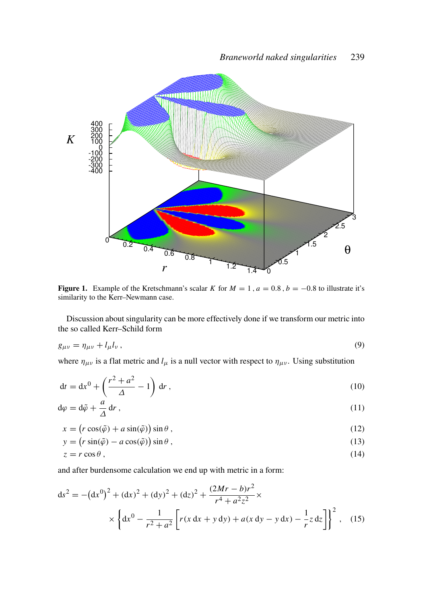

Figure 1. Example of the Kretschmann's scalar *K* for  $M = 1$ ,  $a = 0.8$ ,  $b = -0.8$  to illustrate it's similarity to the Kerr–Newmann case.

Discussion about singularity can be more effectively done if we transform our metric into the so called Kerr–Schild form

$$
g_{\mu\nu} = \eta_{\mu\nu} + l_{\mu}l_{\nu},\tag{9}
$$

where  $\eta_{\mu\nu}$  is a flat metric and  $l_{\mu}$  is a null vector with respect to  $\eta_{\mu\nu}$ . Using substitution

$$
dt = dx0 + \left(\frac{r2 + a2}{\Delta} - 1\right) dr,
$$
\n(10)

$$
d\varphi = d\tilde{\varphi} + \frac{a}{\Delta} dr , \qquad (11)
$$

$$
x = (r\cos(\tilde{\varphi}) + a\sin(\tilde{\varphi}))\sin\theta, \qquad (12)
$$

$$
y = (r\sin(\tilde{\varphi}) - a\cos(\tilde{\varphi}))\sin\theta, \qquad (13)
$$

$$
z = r \cos \theta, \tag{14}
$$

and after burdensome calculation we end up with metric in a form:

$$
ds^{2} = -(dx^{0})^{2} + (dx)^{2} + (dy)^{2} + (dz)^{2} + \frac{(2Mr - b)r^{2}}{r^{4} + a^{2}z^{2}} \times \left\{ dx^{0} - \frac{1}{r^{2} + a^{2}} \left[ r(x dx + y dy) + a(x dy - y dx) - \frac{1}{r} z dz \right] \right\}^{2},
$$
 (15)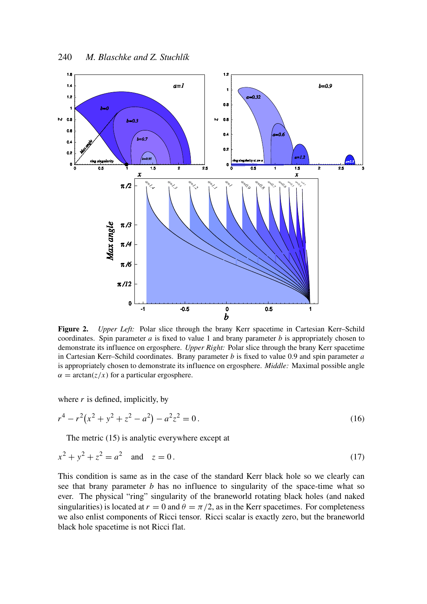

Figure 2. *Upper Left:* Polar slice through the brany Kerr spacetime in Cartesian Kerr–Schild coordinates. Spin parameter  $a$  is fixed to value 1 and brany parameter  $b$  is appropriately chosen to demonstrate its influence on ergosphere. *Upper Right:* Polar slice through the brany Kerr spacetime in Cartesian Kerr–Schild coordinates. Brany parameter *b* is fixed to value 0.9 and spin parameter *a* is appropriately chosen to demonstrate its influence on ergosphere. *Middle:* Maximal possible angle  $\alpha = \arctan(z/x)$  for a particular ergosphere.

where  $r$  is defined, implicitly, by

$$
r^4 - r^2(x^2 + y^2 + z^2 - a^2) - a^2 z^2 = 0.
$$
 (16)

The metric (15) is analytic everywhere except at

$$
x^2 + y^2 + z^2 = a^2 \quad \text{and} \quad z = 0. \tag{17}
$$

This condition is same as in the case of the standard Kerr black hole so we clearly can see that brany parameter *b* has no influence to singularity of the space-time what so ever. The physical "ring" singularity of the braneworld rotating black holes (and naked singularities) is located at  $r = 0$  and  $\theta = \pi/2$ , as in the Kerr spacetimes. For completeness we also enlist components of Ricci tensor. Ricci scalar is exactly zero, but the braneworld black hole spacetime is not Ricci flat.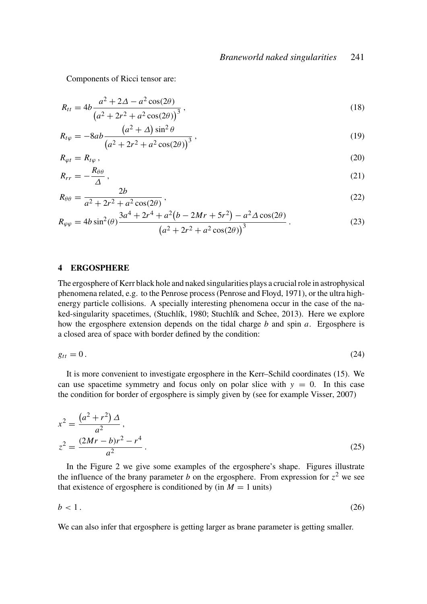Components of Ricci tensor are:

$$
R_{tt} = 4b \frac{a^2 + 2\Delta - a^2 \cos(2\theta)}{(a^2 + 2r^2 + a^2 \cos(2\theta))^{3}},
$$
\n(18)

$$
R_{t\varphi} = -8ab \frac{(a^2 + \Delta)\sin^2 \theta}{(a^2 + 2r^2 + a^2 \cos(2\theta))^3},
$$
\n(19)

$$
R_{\varphi t} = R_{t\varphi} \,, \tag{20}
$$

$$
R_{rr} = -\frac{R_{\theta\theta}}{\Delta} \,,\tag{21}
$$

$$
R_{\theta\theta} = \frac{2b}{a^2 + 2r^2 + a^2\cos(2\theta)},
$$
\n(22)

$$
R_{\varphi\varphi} = 4b\sin^2(\theta)\frac{3a^4 + 2r^4 + a^2(b - 2Mr + 5r^2) - a^2\Delta\cos(2\theta)}{(a^2 + 2r^2 + a^2\cos(2\theta))^3}.
$$
 (23)

#### 4 ERGOSPHERE

The ergosphere of Kerr black hole and naked singularities plays a crucial role in astrophysical phenomena related, e.g. to the Penrose process (Penrose and Floyd, 1971), or the ultra highenergy particle collisions. A specially interesting phenomena occur in the case of the naked-singularity spacetimes, (Stuchlík, 1980; Stuchlík and Schee, 2013). Here we explore how the ergosphere extension depends on the tidal charge *b* and spin *a*. Ergosphere is a closed area of space with border defined by the condition:

$$
g_{tt} = 0. \tag{24}
$$

It is more convenient to investigate ergosphere in the Kerr–Schild coordinates (15). We can use spacetime symmetry and focus only on polar slice with  $y = 0$ . In this case the condition for border of ergosphere is simply given by (see for example Visser, 2007)

$$
x^{2} = \frac{(a^{2} + r^{2}) \Delta}{a^{2}},
$$
  

$$
z^{2} = \frac{(2Mr - b)r^{2} - r^{4}}{a^{2}}.
$$
 (25)

In the Figure 2 we give some examples of the ergosphere's shape. Figures illustrate the influence of the brany parameter *b* on the ergosphere. From expression for  $z^2$  we see that existence of ergosphere is conditioned by (in  $M = 1$  units)

$$
b < 1. \tag{26}
$$

We can also infer that ergosphere is getting larger as brane parameter is getting smaller.